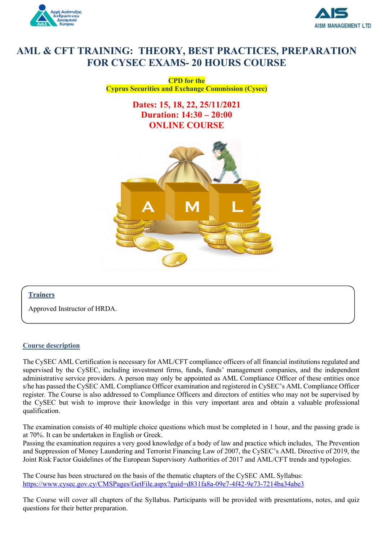



# **AML & CFT TRAINING: THEORY, BEST PRACTICES, PREPARATION FOR CYSEC EXAMS- 20 HOURS COURSE**

**CPD for the Cyprus Securities and Exchange Commission (Cysec)**

> **Dates: 15, 18, 22, 25/11/2021 Duration: 14:30 – 20:00 ONLINE COURSE**



## **Trainers**

Approved Instructor of HRDA.

### **Course description**

The CySEC AML Certification is necessary for AML/CFT compliance officers of all financial institutions regulated and supervised by the CySEC, including investment firms, funds, funds' management companies, and the independent administrative service providers. A person may only be appointed as AML Compliance Officer of these entities once s/he has passed the CySEC AML Compliance Officer examination and registered in CySEC's AML Compliance Officer register. The Course is also addressed to Compliance Officers and directors of entities who may not be supervised by the CySEC but wish to improve their knowledge in this very important area and obtain a valuable professional qualification.

The examination consists of 40 multiple choice questions which must be completed in 1 hour, and the passing grade is at 70%. It can be undertaken in English or Greek.

Passing the examination requires a very good knowledge of a body of law and practice which includes, The Prevention and Suppression of Money Laundering and Terrorist Financing Law of 2007, the CySEC's AML Directive of 2019, the Joint Risk Factor Guidelines of the European Supervisory Authorities of 2017 and AML/CFT trends and typologies.

The Course has been structured on the basis of the thematic chapters of the CySEC AML Syllabus: https://www.cysec.gov.cy/CMSPages/GetFile.aspx?guid=d831fa8a-09e7-4f42-9e73-7214ba34abe3

The Course will cover all chapters of the Syllabus. Participants will be provided with presentations, notes, and quiz questions for their better preparation.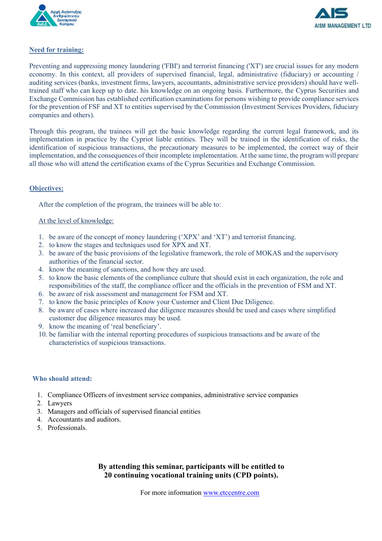



### **Need for training:**

Preventing and suppressing money laundering ('FBI') and terrorist financing ('XT') are crucial issues for any modern economy. In this context, all providers of supervised financial, legal, administrative (fiduciary) or accounting / auditing services (banks, investment firms, lawyers, accountants, administrative service providers) should have welltrained staff who can keep up to date. his knowledge on an ongoing basis. Furthermore, the Cyprus Securities and Exchange Commission has established certification examinations for persons wishing to provide compliance services for the prevention of FSF and XT to entities supervised by the Commission (Investment Services Providers, fiduciary companies and others).

Through this program, the trainees will get the basic knowledge regarding the current legal framework, and its implementation in practice by the Cypriot liable entities. They will be trained in the identification of risks, the identification of suspicious transactions, the precautionary measures to be implemented, the correct way of their implementation, and the consequences of their incomplete implementation. At the same time, the program will prepare all those who will attend the certification exams of the Cyprus Securities and Exchange Commission.

## **Objectives:**

After the completion of the program, the trainees will be able to:

#### At the level of knowledge:

- 1. be aware of the concept of money laundering ('XPX' and 'XT') and terrorist financing.
- 2. to know the stages and techniques used for XPX and XT.
- 3. be aware of the basic provisions of the legislative framework, the role of MOKAS and the supervisory authorities of the financial sector.
- 4. know the meaning of sanctions, and how they are used.
- 5. to know the basic elements of the compliance culture that should exist in each organization, the role and responsibilities of the staff, the compliance officer and the officials in the prevention of FSM and XT.
- 6. be aware of risk assessment and management for FSM and XT.
- 7. to know the basic principles of Know your Customer and Client Due Diligence.
- 8. be aware of cases where increased due diligence measures should be used and cases where simplified customer due diligence measures may be used.
- 9. know the meaning of 'real beneficiary'.
- 10. be familiar with the internal reporting procedures of suspicious transactions and be aware of the characteristics of suspicious transactions.

#### **Who should attend:**

- 1. Compliance Officers of investment service companies, administrative service companies
- 2. Lawyers
- 3. Managers and officials of supervised financial entities
- 4. Accountants and auditors.
- 5. Professionals.

# **By attending this seminar, participants will be entitled to 20 continuing vocational training units (CPD points).**

For more information www.etccentre.com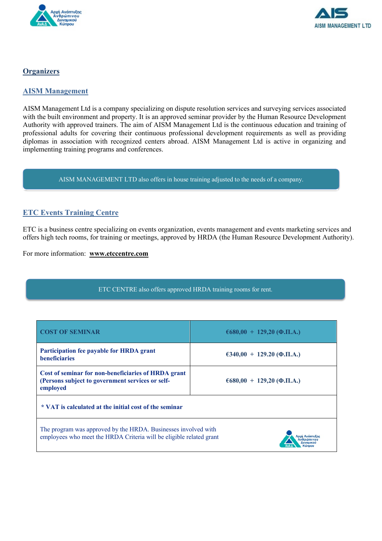



# **Organizers**

# **AISM Management**

AISM Management Ltd is a company specializing on dispute resolution services and surveying services associated with the built environment and property. It is an approved seminar provider by the Human Resource Development Authority with approved trainers. The aim of AISM Management Ltd is the continuous education and training of professional adults for covering their continuous professional development requirements as well as providing diplomas in association with recognized centers abroad. AISM Management Ltd is active in organizing and implementing training programs and conferences.

AISM MANAGEMENT LTD also offers in house training adjusted to the needs of a company.

# **ETC Events Training Centre**

ETC is a business centre specializing on events organization, events management and events marketing services and offers high tech rooms, for training or meetings, approved by HRDA (the Human Resource Development Authority).

For more information: **www.etccentre.com**

|  | ETC CENTRE also offers approved HRDA training rooms for rent. |  |
|--|---------------------------------------------------------------|--|
|  |                                                               |  |

| <b>COST OF SEMINAR</b>                                                                                                                | $6680,00 + 129,20$ ( <b>Q.II.A.</b> ) |  |  |  |  |
|---------------------------------------------------------------------------------------------------------------------------------------|---------------------------------------|--|--|--|--|
| Participation fee payable for HRDA grant<br><b>beneficiaries</b>                                                                      | $\epsilon$ 340,00 + 129.20 (Φ.Π.Α.)   |  |  |  |  |
| Cost of seminar for non-beneficiaries of HRDA grant<br>(Persons subject to government services or self-<br>employed                   | $6680,00 + 129,20$ ( <b>Q.II.A.</b> ) |  |  |  |  |
| * VAT is calculated at the initial cost of the seminar                                                                                |                                       |  |  |  |  |
| The program was approved by the HRDA. Businesses involved with<br>employees who meet the HRDA Criteria will be eligible related grant |                                       |  |  |  |  |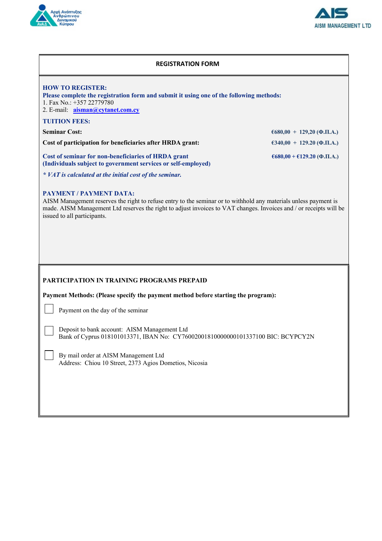



## **REGISTRATION FORM**

| <b>HOW TO REGISTER:</b><br>Please complete the registration form and submit it using one of the following methods:<br>1. Fax No.: $+357$ 22779780<br>2. E-mail: aisman@cytanet.com.cy<br><b>TUITION FEES:</b>                                                                                                                                                                                                     |                                                |  |  |  |  |  |  |
|-------------------------------------------------------------------------------------------------------------------------------------------------------------------------------------------------------------------------------------------------------------------------------------------------------------------------------------------------------------------------------------------------------------------|------------------------------------------------|--|--|--|--|--|--|
| <b>Seminar Cost:</b>                                                                                                                                                                                                                                                                                                                                                                                              | $6680,00 + 129,20$ (Φ.Π.Α.)                    |  |  |  |  |  |  |
| Cost of participation for beneficiaries after HRDA grant:                                                                                                                                                                                                                                                                                                                                                         | $\epsilon$ 340,00 + 129.20 (Φ.Π.Α.)            |  |  |  |  |  |  |
| Cost of seminar for non-beneficiaries of HRDA grant<br>(Individuals subject to government services or self-employed)<br>* VAT is calculated at the initial cost of the seminar.                                                                                                                                                                                                                                   | $\epsilon$ 680,00 + $\epsilon$ 129.20 (Φ.Π.Α.) |  |  |  |  |  |  |
| <b>PAYMENT / PAYMENT DATA:</b><br>AISM Management reserves the right to refuse entry to the seminar or to withhold any materials unless payment is<br>made. AISM Management Ltd reserves the right to adjust invoices to VAT changes. Invoices and / or receipts will be<br>issued to all participants.                                                                                                           |                                                |  |  |  |  |  |  |
| <b>PARTICIPATION IN TRAINING PROGRAMS PREPAID</b><br>Payment Methods: (Please specify the payment method before starting the program):<br>Payment on the day of the seminar<br>Deposit to bank account: AISM Management Ltd<br>Bank of Cyprus 018101013371, IBAN No: CY76002001810000000101337100 BIC: BCYPCY2N<br>By mail order at AISM Management Ltd<br>Address: Chiou 10 Street, 2373 Agios Dometios, Nicosia |                                                |  |  |  |  |  |  |